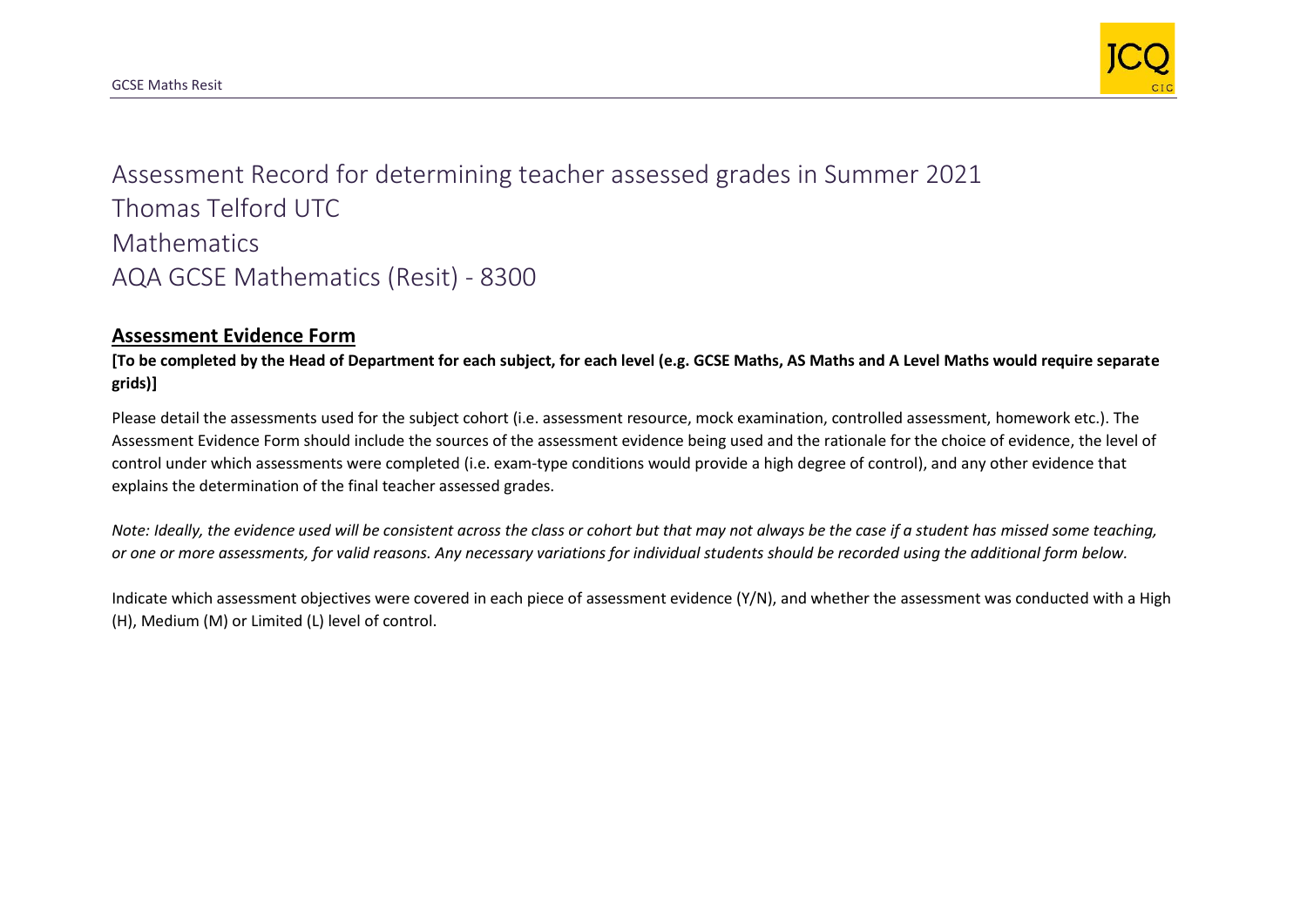

Assessment Record for determining teacher assessed grades in Summer 2021 Thomas Telford UTC **Mathematics** AQA GCSE Mathematics (Resit) - 8300

## **Assessment Evidence Form**

**[To be completed by the Head of Department for each subject, for each level (e.g. GCSE Maths, AS Maths and A Level Maths would require separate grids)]**

Please detail the assessments used for the subject cohort (i.e. assessment resource, mock examination, controlled assessment, homework etc.). The Assessment Evidence Form should include the sources of the assessment evidence being used and the rationale for the choice of evidence, the level of control under which assessments were completed (i.e. exam-type conditions would provide a high degree of control), and any other evidence that explains the determination of the final teacher assessed grades.

*Note: Ideally, the evidence used will be consistent across the class or cohort but that may not always be the case if a student has missed some teaching, or one or more assessments, for valid reasons. Any necessary variations for individual students should be recorded using the additional form below.* 

Indicate which assessment objectives were covered in each piece of assessment evidence (Y/N), and whether the assessment was conducted with a High (H), Medium (M) or Limited (L) level of control.